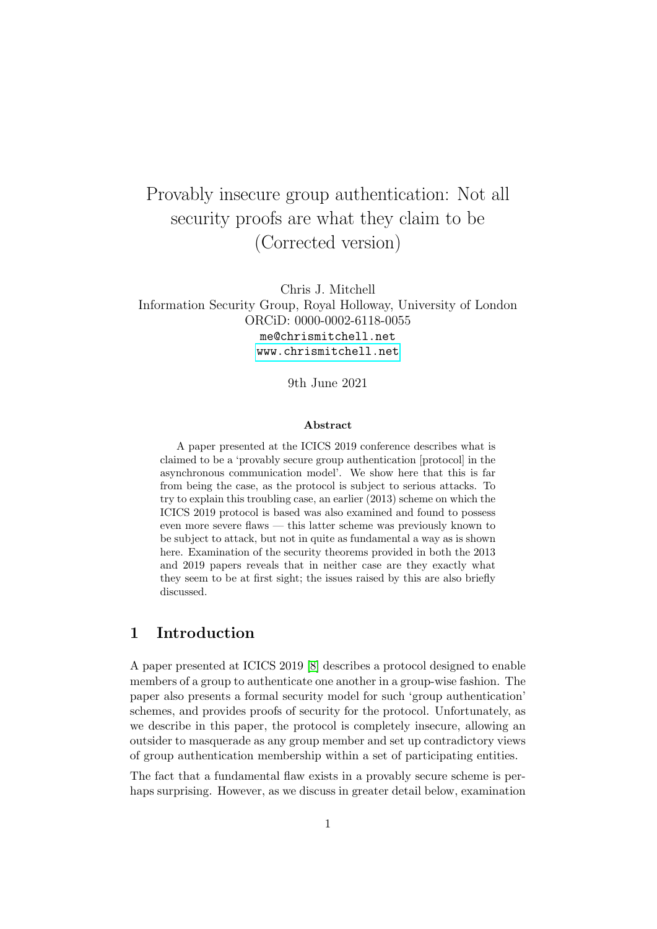# Provably insecure group authentication: Not all security proofs are what they claim to be (Corrected version)

Chris J. Mitchell

Information Security Group, Royal Holloway, University of London ORCiD: 0000-0002-6118-0055 me@chrismitchell.net <www.chrismitchell.net>

9th June 2021

#### Abstract

A paper presented at the ICICS 2019 conference describes what is claimed to be a 'provably secure group authentication [protocol] in the asynchronous communication model'. We show here that this is far from being the case, as the protocol is subject to serious attacks. To try to explain this troubling case, an earlier (2013) scheme on which the ICICS 2019 protocol is based was also examined and found to possess even more severe flaws — this latter scheme was previously known to be subject to attack, but not in quite as fundamental a way as is shown here. Examination of the security theorems provided in both the 2013 and 2019 papers reveals that in neither case are they exactly what they seem to be at first sight; the issues raised by this are also briefly discussed.

# <span id="page-0-0"></span>1 Introduction

A paper presented at ICICS 2019 [\[8\]](#page-12-0) describes a protocol designed to enable members of a group to authenticate one another in a group-wise fashion. The paper also presents a formal security model for such 'group authentication' schemes, and provides proofs of security for the protocol. Unfortunately, as we describe in this paper, the protocol is completely insecure, allowing an outsider to masquerade as any group member and set up contradictory views of group authentication membership within a set of participating entities.

The fact that a fundamental flaw exists in a provably secure scheme is perhaps surprising. However, as we discuss in greater detail below, examination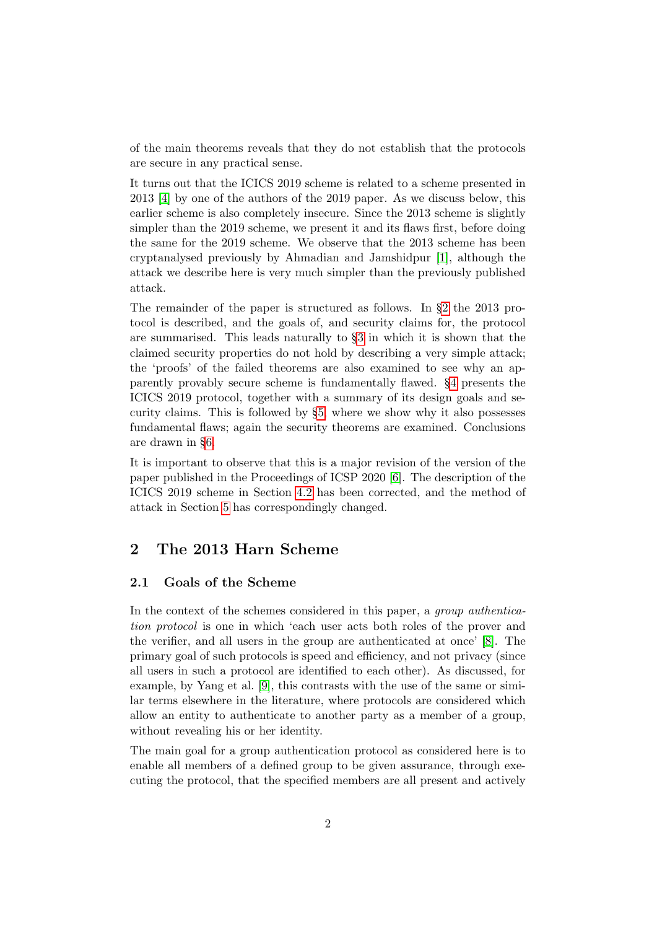of the main theorems reveals that they do not establish that the protocols are secure in any practical sense.

It turns out that the ICICS 2019 scheme is related to a scheme presented in 2013 [\[4\]](#page-12-1) by one of the authors of the 2019 paper. As we discuss below, this earlier scheme is also completely insecure. Since the 2013 scheme is slightly simpler than the 2019 scheme, we present it and its flaws first, before doing the same for the 2019 scheme. We observe that the 2013 scheme has been cryptanalysed previously by Ahmadian and Jamshidpur [\[1\]](#page-12-2), although the attack we describe here is very much simpler than the previously published attack.

The remainder of the paper is structured as follows. In §[2](#page-1-0) the 2013 protocol is described, and the goals of, and security claims for, the protocol are summarised. This leads naturally to §[3](#page-4-0) in which it is shown that the claimed security properties do not hold by describing a very simple attack; the 'proofs' of the failed theorems are also examined to see why an apparently provably secure scheme is fundamentally flawed. §[4](#page-6-0) presents the ICICS 2019 protocol, together with a summary of its design goals and security claims. This is followed by §[5,](#page-9-0) where we show why it also possesses fundamental flaws; again the security theorems are examined. Conclusions are drawn in §[6.](#page-11-0)

It is important to observe that this is a major revision of the version of the paper published in the Proceedings of ICSP 2020 [\[6\]](#page-12-3). The description of the ICICS 2019 scheme in Section [4.2](#page-6-1) has been corrected, and the method of attack in Section [5](#page-9-0) has correspondingly changed.

# <span id="page-1-0"></span>2 The 2013 Harn Scheme

#### <span id="page-1-1"></span>2.1 Goals of the Scheme

In the context of the schemes considered in this paper, a *group authentica*tion protocol is one in which 'each user acts both roles of the prover and the verifier, and all users in the group are authenticated at once' [\[8\]](#page-12-0). The primary goal of such protocols is speed and efficiency, and not privacy (since all users in such a protocol are identified to each other). As discussed, for example, by Yang et al. [\[9\]](#page-13-0), this contrasts with the use of the same or similar terms elsewhere in the literature, where protocols are considered which allow an entity to authenticate to another party as a member of a group, without revealing his or her identity.

The main goal for a group authentication protocol as considered here is to enable all members of a defined group to be given assurance, through executing the protocol, that the specified members are all present and actively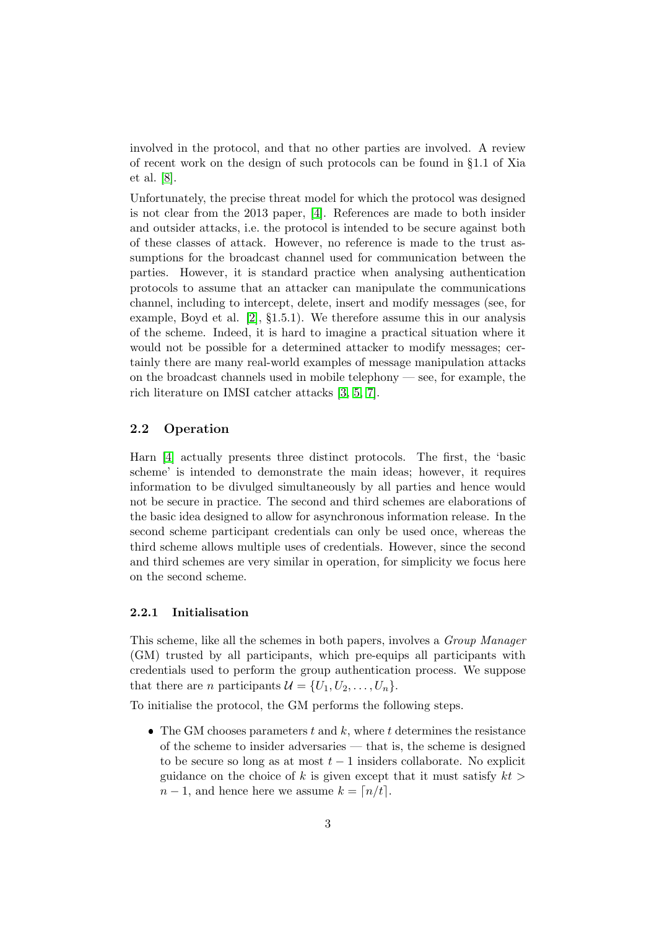involved in the protocol, and that no other parties are involved. A review of recent work on the design of such protocols can be found in §1.1 of Xia et al. [\[8\]](#page-12-0).

Unfortunately, the precise threat model for which the protocol was designed is not clear from the 2013 paper, [\[4\]](#page-12-1). References are made to both insider and outsider attacks, i.e. the protocol is intended to be secure against both of these classes of attack. However, no reference is made to the trust assumptions for the broadcast channel used for communication between the parties. However, it is standard practice when analysing authentication protocols to assume that an attacker can manipulate the communications channel, including to intercept, delete, insert and modify messages (see, for example, Boyd et al. [\[2\]](#page-12-4), §1.5.1). We therefore assume this in our analysis of the scheme. Indeed, it is hard to imagine a practical situation where it would not be possible for a determined attacker to modify messages; certainly there are many real-world examples of message manipulation attacks on the broadcast channels used in mobile telephony — see, for example, the rich literature on IMSI catcher attacks [\[3,](#page-12-5) [5,](#page-12-6) [7\]](#page-12-7).

### 2.2 Operation

Harn [\[4\]](#page-12-1) actually presents three distinct protocols. The first, the 'basic scheme' is intended to demonstrate the main ideas; however, it requires information to be divulged simultaneously by all parties and hence would not be secure in practice. The second and third schemes are elaborations of the basic idea designed to allow for asynchronous information release. In the second scheme participant credentials can only be used once, whereas the third scheme allows multiple uses of credentials. However, since the second and third schemes are very similar in operation, for simplicity we focus here on the second scheme.

#### 2.2.1 Initialisation

This scheme, like all the schemes in both papers, involves a Group Manager (GM) trusted by all participants, which pre-equips all participants with credentials used to perform the group authentication process. We suppose that there are *n* participants  $\mathcal{U} = \{U_1, U_2, \ldots, U_n\}.$ 

To initialise the protocol, the GM performs the following steps.

 $\bullet$  The GM chooses parameters t and k, where t determines the resistance of the scheme to insider adversaries — that is, the scheme is designed to be secure so long as at most  $t-1$  insiders collaborate. No explicit guidance on the choice of k is given except that it must satisfy  $kt >$  $n-1$ , and hence here we assume  $k = \lfloor n/t \rfloor$ .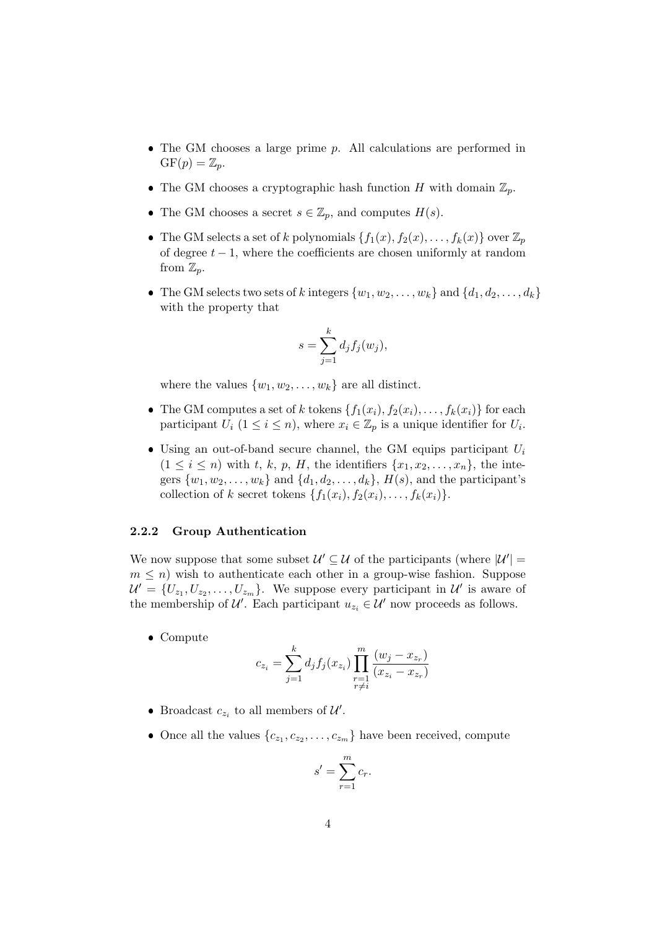- The GM chooses a large prime p. All calculations are performed in  $GF(p) = \mathbb{Z}_p$ .
- The GM chooses a cryptographic hash function H with domain  $\mathbb{Z}_p$ .
- The GM chooses a secret  $s \in \mathbb{Z}_p$ , and computes  $H(s)$ .
- The GM selects a set of k polynomials  $\{f_1(x), f_2(x), \ldots, f_k(x)\}$  over  $\mathbb{Z}_p$ of degree  $t - 1$ , where the coefficients are chosen uniformly at random from  $\mathbb{Z}_p$ .
- The GM selects two sets of k integers  $\{w_1, w_2, \ldots, w_k\}$  and  $\{d_1, d_2, \ldots, d_k\}$ with the property that

$$
s = \sum_{j=1}^{k} d_j f_j(w_j),
$$

where the values  $\{w_1, w_2, \ldots, w_k\}$  are all distinct.

- The GM computes a set of k tokens  $\{f_1(x_i), f_2(x_i), \ldots, f_k(x_i)\}\$ for each participant  $U_i$   $(1 \leq i \leq n)$ , where  $x_i \in \mathbb{Z}_p$  is a unique identifier for  $U_i$ .
- $\bullet$  Using an out-of-band secure channel, the GM equips participant  $U_i$  $(1 \leq i \leq n)$  with t, k, p, H, the identifiers  $\{x_1, x_2, \ldots, x_n\}$ , the integers  $\{w_1, w_2, \ldots, w_k\}$  and  $\{d_1, d_2, \ldots, d_k\}$ ,  $H(s)$ , and the participant's collection of k secret tokens  $\{f_1(x_i), f_2(x_i), \ldots, f_k(x_i)\}.$

#### <span id="page-3-0"></span>2.2.2 Group Authentication

We now suppose that some subset  $\mathcal{U}' \subseteq \mathcal{U}$  of the participants (where  $|\mathcal{U}'|$  =  $m \leq n$ ) wish to authenticate each other in a group-wise fashion. Suppose  $\mathcal{U}' = \{U_{z_1}, U_{z_2}, \ldots, U_{z_m}\}.$  We suppose every participant in  $\mathcal{U}'$  is aware of the membership of  $\mathcal{U}'$ . Each participant  $u_{z_i} \in \mathcal{U}'$  now proceeds as follows.

Compute

$$
c_{z_i} = \sum_{j=1}^{k} d_j f_j(x_{z_i}) \prod_{\substack{r=1\\r \neq i}}^{m} \frac{(w_j - x_{z_r})}{(x_{z_i} - x_{z_r})}
$$

- Broadcast  $c_{z_i}$  to all members of  $\mathcal{U}'$ .
- Once all the values  $\{c_{z_1}, c_{z_2}, \ldots, c_{z_m}\}$  have been received, compute

$$
s' = \sum_{r=1}^{m} c_r.
$$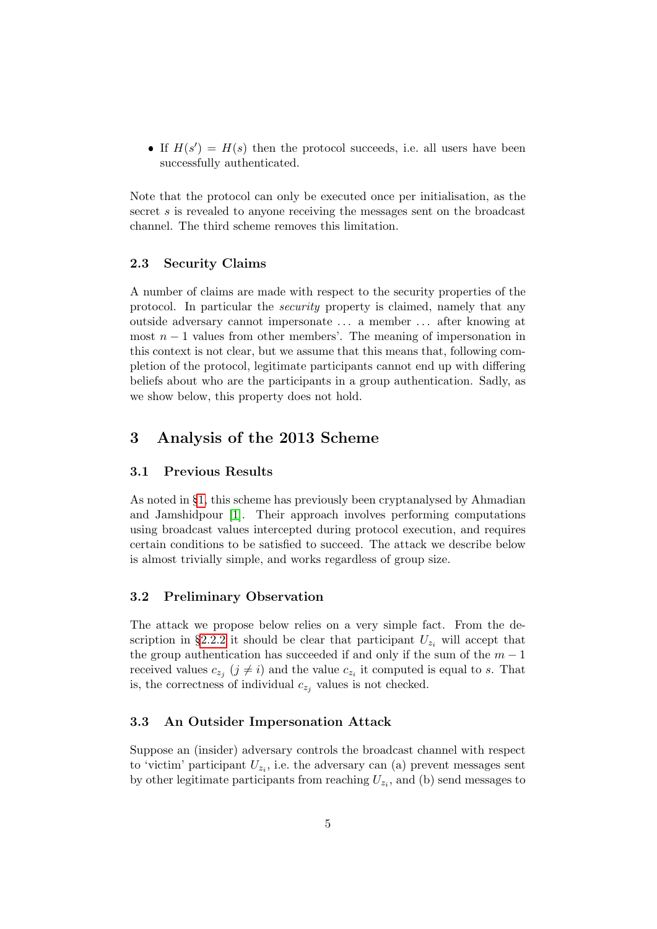If  $H(s') = H(s)$  then the protocol succeeds, i.e. all users have been successfully authenticated.

Note that the protocol can only be executed once per initialisation, as the secret s is revealed to anyone receiving the messages sent on the broadcast channel. The third scheme removes this limitation.

### 2.3 Security Claims

A number of claims are made with respect to the security properties of the protocol. In particular the security property is claimed, namely that any outside adversary cannot impersonate . . . a member . . . after knowing at most  $n-1$  values from other members'. The meaning of impersonation in this context is not clear, but we assume that this means that, following completion of the protocol, legitimate participants cannot end up with differing beliefs about who are the participants in a group authentication. Sadly, as we show below, this property does not hold.

# <span id="page-4-0"></span>3 Analysis of the 2013 Scheme

### 3.1 Previous Results

As noted in §[1,](#page-0-0) this scheme has previously been cryptanalysed by Ahmadian and Jamshidpour [\[1\]](#page-12-2). Their approach involves performing computations using broadcast values intercepted during protocol execution, and requires certain conditions to be satisfied to succeed. The attack we describe below is almost trivially simple, and works regardless of group size.

#### 3.2 Preliminary Observation

The attack we propose below relies on a very simple fact. From the de-scription in §[2.2.2](#page-3-0) it should be clear that participant  $U_{z_i}$  will accept that the group authentication has succeeded if and only if the sum of the  $m-1$ received values  $c_{z_j}$   $(j \neq i)$  and the value  $c_{z_i}$  it computed is equal to s. That is, the correctness of individual  $c_{z_i}$  values is not checked.

## <span id="page-4-1"></span>3.3 An Outsider Impersonation Attack

Suppose an (insider) adversary controls the broadcast channel with respect to 'victim' participant  $U_{z_i}$ , i.e. the adversary can (a) prevent messages sent by other legitimate participants from reaching  $U_{z_i}$ , and (b) send messages to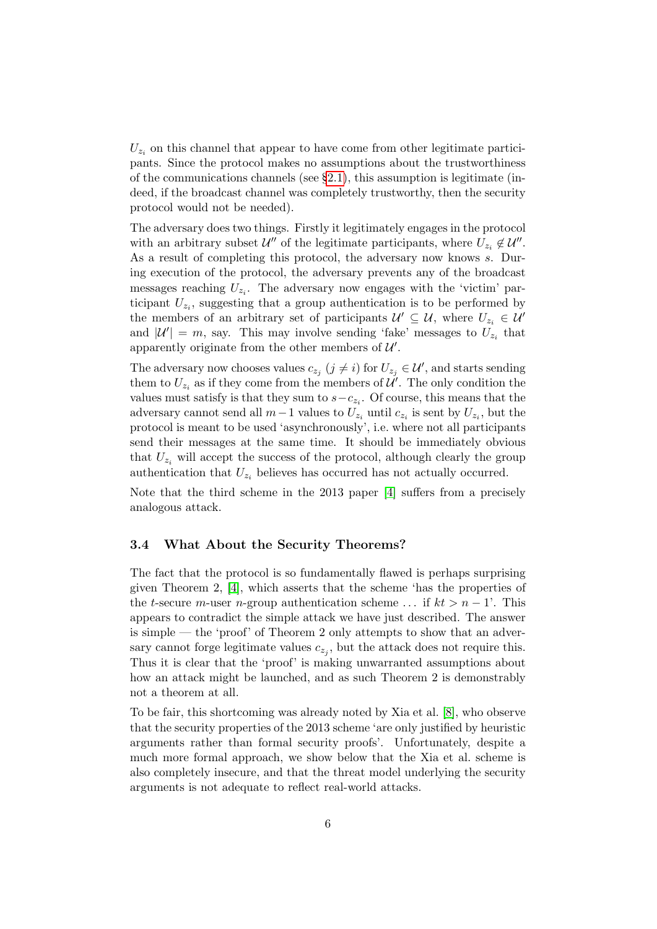$U_{z_i}$  on this channel that appear to have come from other legitimate participants. Since the protocol makes no assumptions about the trustworthiness of the communications channels (see  $\S 2.1$ ), this assumption is legitimate (indeed, if the broadcast channel was completely trustworthy, then the security protocol would not be needed).

The adversary does two things. Firstly it legitimately engages in the protocol with an arbitrary subset  $\mathcal{U}''$  of the legitimate participants, where  $U_{z_i} \notin \mathcal{U}''$ . As a result of completing this protocol, the adversary now knows s. During execution of the protocol, the adversary prevents any of the broadcast messages reaching  $U_{z_i}$ . The adversary now engages with the 'victim' participant  $U_{z_i}$ , suggesting that a group authentication is to be performed by the members of an arbitrary set of participants  $\mathcal{U}' \subseteq \mathcal{U}$ , where  $U_{z_i} \in \mathcal{U}'$ and  $|\mathcal{U}'| = m$ , say. This may involve sending 'fake' messages to  $U_{z_i}$  that apparently originate from the other members of  $\mathcal{U}'$ .

The adversary now chooses values  $c_{z_j}$   $(j \neq i)$  for  $U_{z_j} \in \mathcal{U}'$ , and starts sending them to  $U_{z_i}$  as if they come from the members of  $\mathcal{U}'$ . The only condition the values must satisfy is that they sum to  $s - c_{z_i}$ . Of course, this means that the adversary cannot send all  $m-1$  values to  $U_{z_i}$  until  $c_{z_i}$  is sent by  $U_{z_i}$ , but the protocol is meant to be used 'asynchronously', i.e. where not all participants send their messages at the same time. It should be immediately obvious that  $U_{z_i}$  will accept the success of the protocol, although clearly the group authentication that  $U_{z_i}$  believes has occurred has not actually occurred.

Note that the third scheme in the 2013 paper [\[4\]](#page-12-1) suffers from a precisely analogous attack.

#### 3.4 What About the Security Theorems?

The fact that the protocol is so fundamentally flawed is perhaps surprising given Theorem 2, [\[4\]](#page-12-1), which asserts that the scheme 'has the properties of the t-secure m-user n-group authentication scheme ... if  $kt > n - 1$ . This appears to contradict the simple attack we have just described. The answer is simple — the 'proof' of Theorem 2 only attempts to show that an adversary cannot forge legitimate values  $c_{z_j}$ , but the attack does not require this. Thus it is clear that the 'proof' is making unwarranted assumptions about how an attack might be launched, and as such Theorem 2 is demonstrably not a theorem at all.

To be fair, this shortcoming was already noted by Xia et al. [\[8\]](#page-12-0), who observe that the security properties of the 2013 scheme 'are only justified by heuristic arguments rather than formal security proofs'. Unfortunately, despite a much more formal approach, we show below that the Xia et al. scheme is also completely insecure, and that the threat model underlying the security arguments is not adequate to reflect real-world attacks.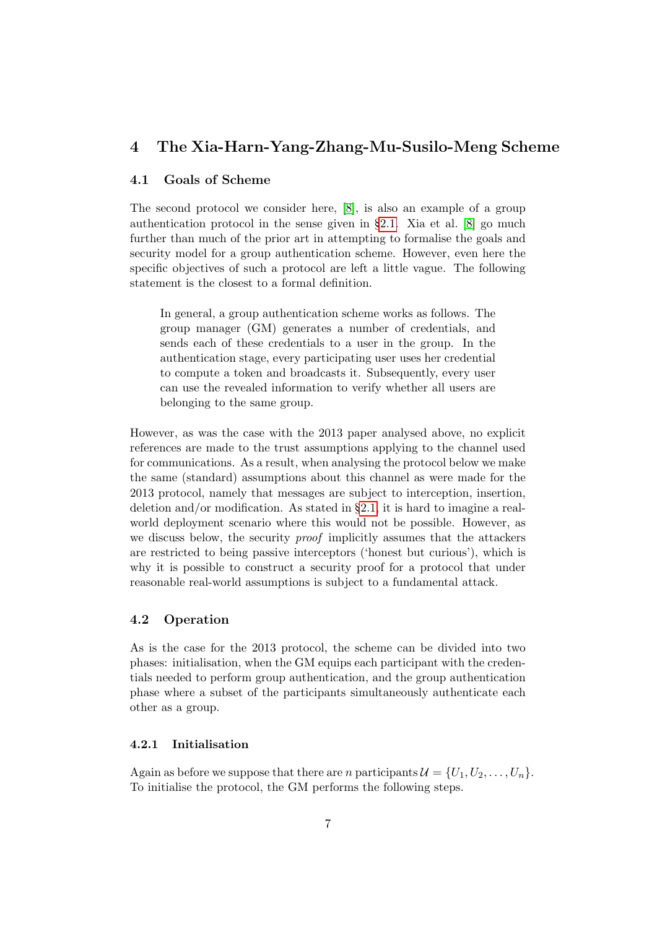# <span id="page-6-0"></span>4 The Xia-Harn-Yang-Zhang-Mu-Susilo-Meng Scheme

### 4.1 Goals of Scheme

The second protocol we consider here, [\[8\]](#page-12-0), is also an example of a group authentication protocol in the sense given in §[2.1.](#page-1-1) Xia et al. [\[8\]](#page-12-0) go much further than much of the prior art in attempting to formalise the goals and security model for a group authentication scheme. However, even here the specific objectives of such a protocol are left a little vague. The following statement is the closest to a formal definition.

In general, a group authentication scheme works as follows. The group manager (GM) generates a number of credentials, and sends each of these credentials to a user in the group. In the authentication stage, every participating user uses her credential to compute a token and broadcasts it. Subsequently, every user can use the revealed information to verify whether all users are belonging to the same group.

However, as was the case with the 2013 paper analysed above, no explicit references are made to the trust assumptions applying to the channel used for communications. As a result, when analysing the protocol below we make the same (standard) assumptions about this channel as were made for the 2013 protocol, namely that messages are subject to interception, insertion, deletion and/or modification. As stated in §[2.1,](#page-1-1) it is hard to imagine a realworld deployment scenario where this would not be possible. However, as we discuss below, the security *proof* implicitly assumes that the attackers are restricted to being passive interceptors ('honest but curious'), which is why it is possible to construct a security proof for a protocol that under reasonable real-world assumptions is subject to a fundamental attack.

### <span id="page-6-1"></span>4.2 Operation

As is the case for the 2013 protocol, the scheme can be divided into two phases: initialisation, when the GM equips each participant with the credentials needed to perform group authentication, and the group authentication phase where a subset of the participants simultaneously authenticate each other as a group.

### 4.2.1 Initialisation

Again as before we suppose that there are *n* participants  $\mathcal{U} = \{U_1, U_2, \ldots, U_n\}.$ To initialise the protocol, the GM performs the following steps.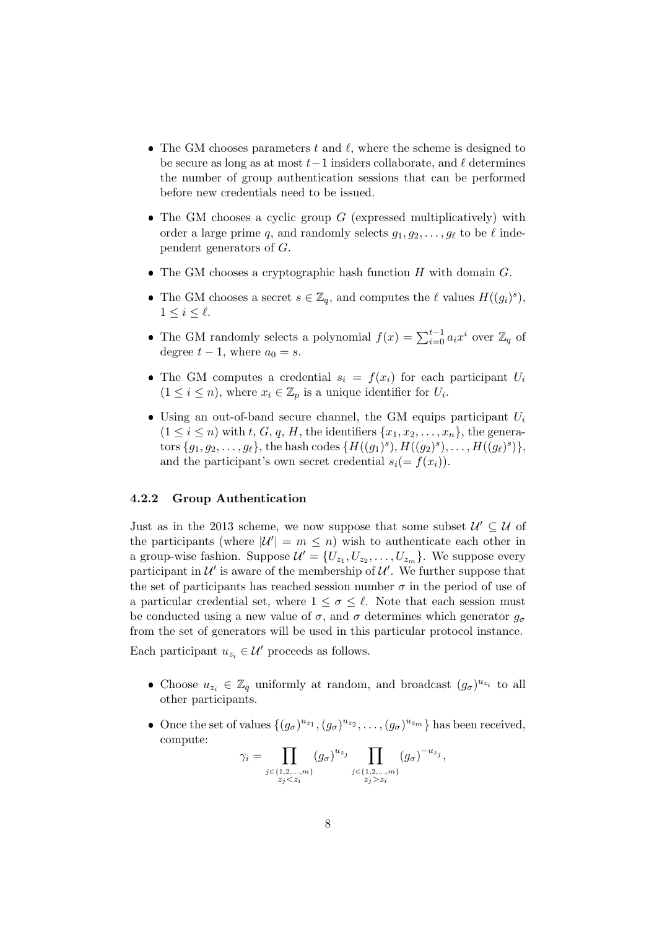- The GM chooses parameters t and  $\ell$ , where the scheme is designed to be secure as long as at most  $t-1$  insiders collaborate, and  $\ell$  determines the number of group authentication sessions that can be performed before new credentials need to be issued.
- $\bullet$  The GM chooses a cyclic group G (expressed multiplicatively) with order a large prime q, and randomly selects  $g_1, g_2, \ldots, g_\ell$  to be  $\ell$  independent generators of G.
- $\bullet$  The GM chooses a cryptographic hash function H with domain G.
- The GM chooses a secret  $s \in \mathbb{Z}_q$ , and computes the  $\ell$  values  $H((g_i)^s)$ ,  $1 \leq i \leq \ell$ .
- The GM randomly selects a polynomial  $f(x) = \sum_{i=0}^{t-1} a_i x^i$  over  $\mathbb{Z}_q$  of degree  $t - 1$ , where  $a_0 = s$ .
- The GM computes a credential  $s_i = f(x_i)$  for each participant  $U_i$  $(1 \leq i \leq n)$ , where  $x_i \in \mathbb{Z}_p$  is a unique identifier for  $U_i$ .
- Using an out-of-band secure channel, the GM equips participant  $U_i$  $(1 \leq i \leq n)$  with t, G, q, H, the identifiers  $\{x_1, x_2, \ldots, x_n\}$ , the generators  $\{g_1, g_2, \ldots, g_\ell\}$ , the hash codes  $\{H((g_1)^s), H((g_2)^s), \ldots, H((g_\ell)^s)\},$ and the participant's own secret credential  $s_i(=f(x_i)).$

#### 4.2.2 Group Authentication

Just as in the 2013 scheme, we now suppose that some subset  $\mathcal{U}' \subseteq \mathcal{U}$  of the participants (where  $|\mathcal{U}'| = m \leq n$ ) wish to authenticate each other in a group-wise fashion. Suppose  $\mathcal{U}' = \{U_{z_1}, U_{z_2}, \ldots, U_{z_m}\}.$  We suppose every participant in  $\mathcal{U}'$  is aware of the membership of  $\mathcal{U}'$ . We further suppose that the set of participants has reached session number  $\sigma$  in the period of use of a particular credential set, where  $1 \leq \sigma \leq \ell$ . Note that each session must be conducted using a new value of  $\sigma$ , and  $\sigma$  determines which generator  $g_{\sigma}$ from the set of generators will be used in this particular protocol instance.

Each participant  $u_{z_i} \in \mathcal{U}'$  proceeds as follows.

- Choose  $u_{z_i} \in \mathbb{Z}_q$  uniformly at random, and broadcast  $(g_{\sigma})^{u_{z_i}}$  to all other participants.
- Once the set of values  $\{(g_{\sigma})^{u_{z_1}}, (g_{\sigma})^{u_{z_2}}, \ldots, (g_{\sigma})^{u_{z_m}}\}$  has been received, compute:

$$
\gamma_i = \prod_{\substack{j \in \{1, 2, ..., m\} \\ z_j < z_i}} (g_{\sigma})^{u_{z_j}} \prod_{\substack{j \in \{1, 2, ..., m\} \\ z_j > z_i}} (g_{\sigma})^{-u_{z_j}},
$$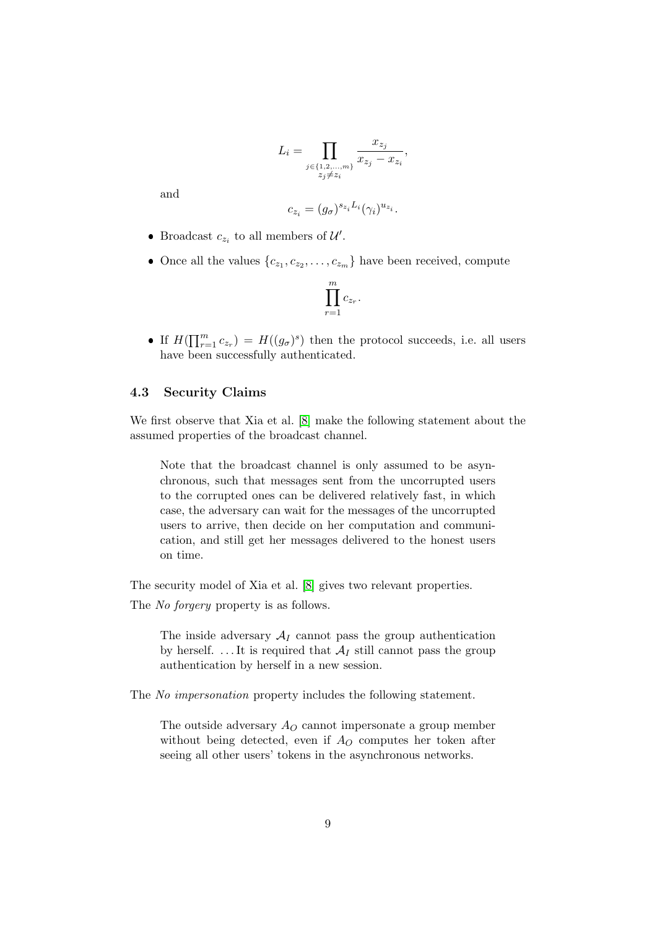$$
L_i = \prod_{\substack{j \in \{1,2,\ldots,m\} \\ z_j \neq z_i}} \frac{x_{z_j}}{x_{z_j} - x_{z_i}},
$$

and

$$
c_{z_i} = (g_{\sigma})^{s_{z_i}L_i}(\gamma_i)^{u_{z_i}}.
$$

- Broadcast  $c_{z_i}$  to all members of  $\mathcal{U}'$ .
- Once all the values  $\{c_{z_1}, c_{z_2}, \ldots, c_{z_m}\}\$  have been received, compute

$$
\prod_{r=1}^m c_{z_r}.
$$

• If  $H(\prod_{r=1}^m c_{z_r}) = H((g_{\sigma})^s)$  then the protocol succeeds, i.e. all users have been successfully authenticated.

### <span id="page-8-0"></span>4.3 Security Claims

We first observe that Xia et al. [\[8\]](#page-12-0) make the following statement about the assumed properties of the broadcast channel.

Note that the broadcast channel is only assumed to be asynchronous, such that messages sent from the uncorrupted users to the corrupted ones can be delivered relatively fast, in which case, the adversary can wait for the messages of the uncorrupted users to arrive, then decide on her computation and communication, and still get her messages delivered to the honest users on time.

The security model of Xia et al. [\[8\]](#page-12-0) gives two relevant properties.

The No forgery property is as follows.

The inside adversary  $A_I$  cannot pass the group authentication by herself. ... It is required that  $\mathcal{A}_I$  still cannot pass the group authentication by herself in a new session.

The No impersonation property includes the following statement.

The outside adversary  $A_O$  cannot impersonate a group member without being detected, even if  $A_O$  computes her token after seeing all other users' tokens in the asynchronous networks.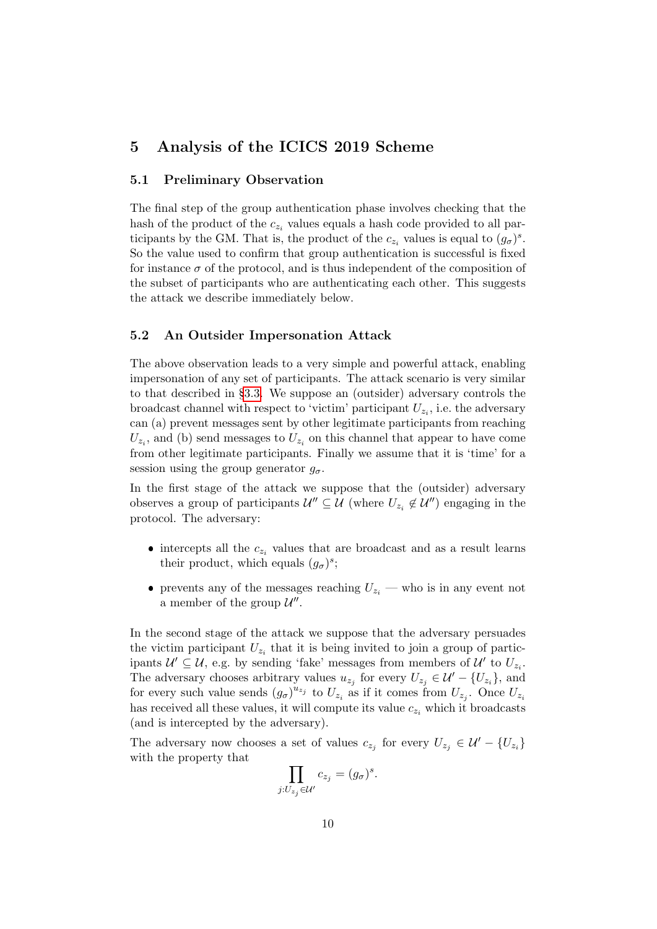# <span id="page-9-0"></span>5 Analysis of the ICICS 2019 Scheme

### <span id="page-9-1"></span>5.1 Preliminary Observation

The final step of the group authentication phase involves checking that the hash of the product of the  $c_{z_i}$  values equals a hash code provided to all participants by the GM. That is, the product of the  $c_{z_i}$  values is equal to  $(g_{\sigma})^s$ . So the value used to confirm that group authentication is successful is fixed for instance  $\sigma$  of the protocol, and is thus independent of the composition of the subset of participants who are authenticating each other. This suggests the attack we describe immediately below.

### 5.2 An Outsider Impersonation Attack

The above observation leads to a very simple and powerful attack, enabling impersonation of any set of participants. The attack scenario is very similar to that described in §[3.3.](#page-4-1) We suppose an (outsider) adversary controls the broadcast channel with respect to 'victim' participant  $U_{z_i}$ , i.e. the adversary can (a) prevent messages sent by other legitimate participants from reaching  $U_{z_i}$ , and (b) send messages to  $U_{z_i}$  on this channel that appear to have come from other legitimate participants. Finally we assume that it is 'time' for a session using the group generator  $g_{\sigma}$ .

In the first stage of the attack we suppose that the (outsider) adversary observes a group of participants  $\mathcal{U}'' \subseteq \mathcal{U}$  (where  $U_{z_i} \notin \mathcal{U}''$ ) engaging in the protocol. The adversary:

- $\bullet$  intercepts all the  $c_{z_i}$  values that are broadcast and as a result learns their product, which equals  $(g_{\sigma})^s$ ;
- prevents any of the messages reaching  $U_{z_i}$  who is in any event not a member of the group  $\mathcal{U}''$ .

In the second stage of the attack we suppose that the adversary persuades the victim participant  $U_{z_i}$  that it is being invited to join a group of participants  $\mathcal{U}' \subseteq \mathcal{U}$ , e.g. by sending 'fake' messages from members of  $\mathcal{U}'$  to  $U_{z_i}$ . The adversary chooses arbitrary values  $u_{z_j}$  for every  $U_{z_j} \in \mathcal{U}' - \{U_{z_i}\}\$ , and for every such value sends  $(g_{\sigma})^{u_{z_j}}$  to  $U_{z_i}$  as if it comes from  $U_{z_j}$ . Once  $U_{z_i}$ has received all these values, it will compute its value  $c_{z_i}$  which it broadcasts (and is intercepted by the adversary).

The adversary now chooses a set of values  $c_{z_j}$  for every  $U_{z_j} \in \mathcal{U}' - \{U_{z_i}\}\$ with the property that

$$
\prod_{j:U_{z_j}\in\mathcal{U}'}c_{z_j}=(g_{\sigma})^s.
$$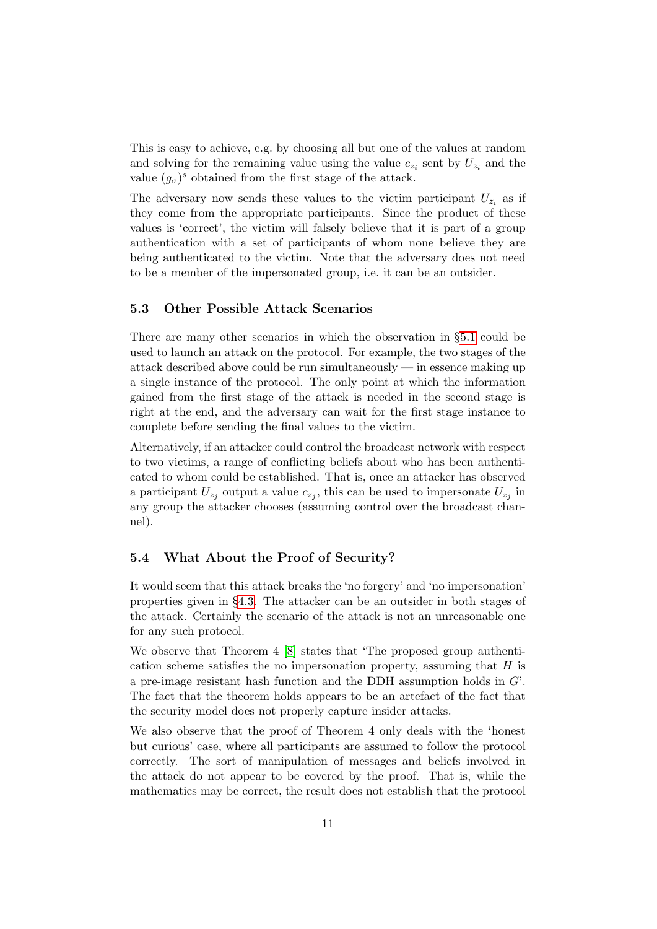This is easy to achieve, e.g. by choosing all but one of the values at random and solving for the remaining value using the value  $c_{z_i}$  sent by  $U_{z_i}$  and the value  $(g_{\sigma})^s$  obtained from the first stage of the attack.

The adversary now sends these values to the victim participant  $U_{z_i}$  as if they come from the appropriate participants. Since the product of these values is 'correct', the victim will falsely believe that it is part of a group authentication with a set of participants of whom none believe they are being authenticated to the victim. Note that the adversary does not need to be a member of the impersonated group, i.e. it can be an outsider.

#### 5.3 Other Possible Attack Scenarios

There are many other scenarios in which the observation in  $\S 5.1$  $\S 5.1$  could be used to launch an attack on the protocol. For example, the two stages of the attack described above could be run simultaneously — in essence making up a single instance of the protocol. The only point at which the information gained from the first stage of the attack is needed in the second stage is right at the end, and the adversary can wait for the first stage instance to complete before sending the final values to the victim.

Alternatively, if an attacker could control the broadcast network with respect to two victims, a range of conflicting beliefs about who has been authenticated to whom could be established. That is, once an attacker has observed a participant  $U_{z_j}$  output a value  $c_{z_j}$ , this can be used to impersonate  $U_{z_j}$  in any group the attacker chooses (assuming control over the broadcast channel).

### 5.4 What About the Proof of Security?

It would seem that this attack breaks the 'no forgery' and 'no impersonation' properties given in §[4.3.](#page-8-0) The attacker can be an outsider in both stages of the attack. Certainly the scenario of the attack is not an unreasonable one for any such protocol.

We observe that Theorem 4 [\[8\]](#page-12-0) states that 'The proposed group authentication scheme satisfies the no impersonation property, assuming that  $H$  is a pre-image resistant hash function and the DDH assumption holds in G'. The fact that the theorem holds appears to be an artefact of the fact that the security model does not properly capture insider attacks.

We also observe that the proof of Theorem 4 only deals with the 'honest but curious' case, where all participants are assumed to follow the protocol correctly. The sort of manipulation of messages and beliefs involved in the attack do not appear to be covered by the proof. That is, while the mathematics may be correct, the result does not establish that the protocol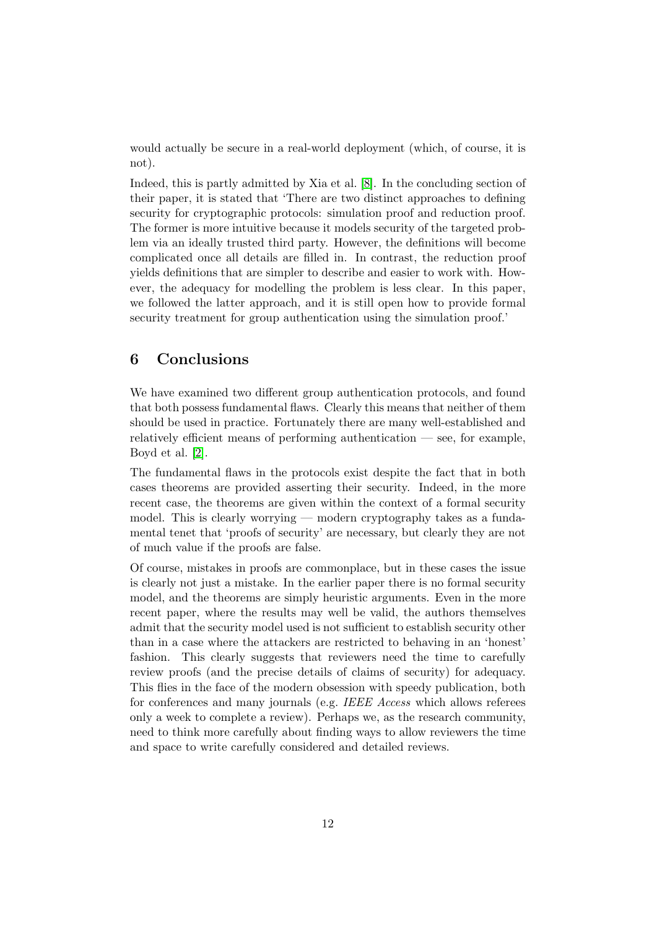would actually be secure in a real-world deployment (which, of course, it is not).

Indeed, this is partly admitted by Xia et al. [\[8\]](#page-12-0). In the concluding section of their paper, it is stated that 'There are two distinct approaches to defining security for cryptographic protocols: simulation proof and reduction proof. The former is more intuitive because it models security of the targeted problem via an ideally trusted third party. However, the definitions will become complicated once all details are filled in. In contrast, the reduction proof yields definitions that are simpler to describe and easier to work with. However, the adequacy for modelling the problem is less clear. In this paper, we followed the latter approach, and it is still open how to provide formal security treatment for group authentication using the simulation proof.'

# <span id="page-11-0"></span>6 Conclusions

We have examined two different group authentication protocols, and found that both possess fundamental flaws. Clearly this means that neither of them should be used in practice. Fortunately there are many well-established and relatively efficient means of performing authentication — see, for example, Boyd et al. [\[2\]](#page-12-4).

The fundamental flaws in the protocols exist despite the fact that in both cases theorems are provided asserting their security. Indeed, in the more recent case, the theorems are given within the context of a formal security model. This is clearly worrying — modern cryptography takes as a fundamental tenet that 'proofs of security' are necessary, but clearly they are not of much value if the proofs are false.

Of course, mistakes in proofs are commonplace, but in these cases the issue is clearly not just a mistake. In the earlier paper there is no formal security model, and the theorems are simply heuristic arguments. Even in the more recent paper, where the results may well be valid, the authors themselves admit that the security model used is not sufficient to establish security other than in a case where the attackers are restricted to behaving in an 'honest' fashion. This clearly suggests that reviewers need the time to carefully review proofs (and the precise details of claims of security) for adequacy. This flies in the face of the modern obsession with speedy publication, both for conferences and many journals (e.g. IEEE Access which allows referees only a week to complete a review). Perhaps we, as the research community, need to think more carefully about finding ways to allow reviewers the time and space to write carefully considered and detailed reviews.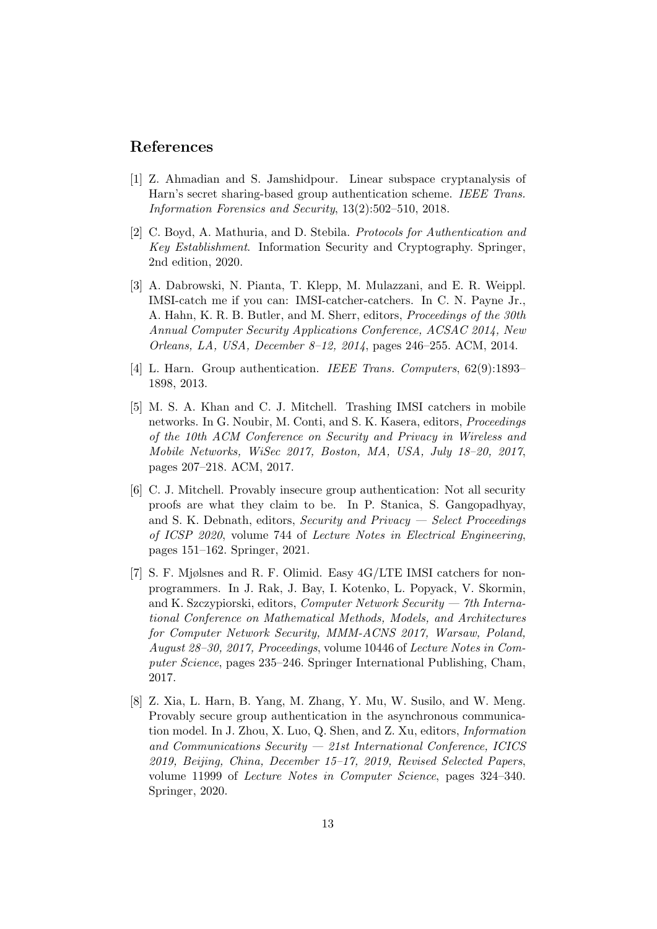# References

- <span id="page-12-2"></span>[1] Z. Ahmadian and S. Jamshidpour. Linear subspace cryptanalysis of Harn's secret sharing-based group authentication scheme. IEEE Trans. Information Forensics and Security, 13(2):502–510, 2018.
- <span id="page-12-4"></span>[2] C. Boyd, A. Mathuria, and D. Stebila. Protocols for Authentication and Key Establishment. Information Security and Cryptography. Springer, 2nd edition, 2020.
- <span id="page-12-5"></span>[3] A. Dabrowski, N. Pianta, T. Klepp, M. Mulazzani, and E. R. Weippl. IMSI-catch me if you can: IMSI-catcher-catchers. In C. N. Payne Jr., A. Hahn, K. R. B. Butler, and M. Sherr, editors, Proceedings of the 30th Annual Computer Security Applications Conference, ACSAC 2014, New Orleans, LA, USA, December 8–12, 2014, pages 246–255. ACM, 2014.
- <span id="page-12-1"></span>[4] L. Harn. Group authentication. IEEE Trans. Computers, 62(9):1893– 1898, 2013.
- <span id="page-12-6"></span>[5] M. S. A. Khan and C. J. Mitchell. Trashing IMSI catchers in mobile networks. In G. Noubir, M. Conti, and S. K. Kasera, editors, Proceedings of the 10th ACM Conference on Security and Privacy in Wireless and Mobile Networks, WiSec 2017, Boston, MA, USA, July 18–20, 2017, pages 207–218. ACM, 2017.
- <span id="page-12-3"></span>[6] C. J. Mitchell. Provably insecure group authentication: Not all security proofs are what they claim to be. In P. Stanica, S. Gangopadhyay, and S. K. Debnath, editors, *Security and Privacy* — *Select Proceedings* of ICSP 2020, volume 744 of Lecture Notes in Electrical Engineering, pages 151–162. Springer, 2021.
- <span id="page-12-7"></span>[7] S. F. Mjølsnes and R. F. Olimid. Easy 4G/LTE IMSI catchers for nonprogrammers. In J. Rak, J. Bay, I. Kotenko, L. Popyack, V. Skormin, and K. Szczypiorski, editors, Computer Network Security — 7th International Conference on Mathematical Methods, Models, and Architectures for Computer Network Security, MMM-ACNS 2017, Warsaw, Poland, August 28–30, 2017, Proceedings, volume 10446 of Lecture Notes in Computer Science, pages 235–246. Springer International Publishing, Cham, 2017.
- <span id="page-12-0"></span>[8] Z. Xia, L. Harn, B. Yang, M. Zhang, Y. Mu, W. Susilo, and W. Meng. Provably secure group authentication in the asynchronous communication model. In J. Zhou, X. Luo, Q. Shen, and Z. Xu, editors, Information and Communications Security — 21st International Conference, ICICS 2019, Beijing, China, December 15–17, 2019, Revised Selected Papers, volume 11999 of Lecture Notes in Computer Science, pages 324–340. Springer, 2020.